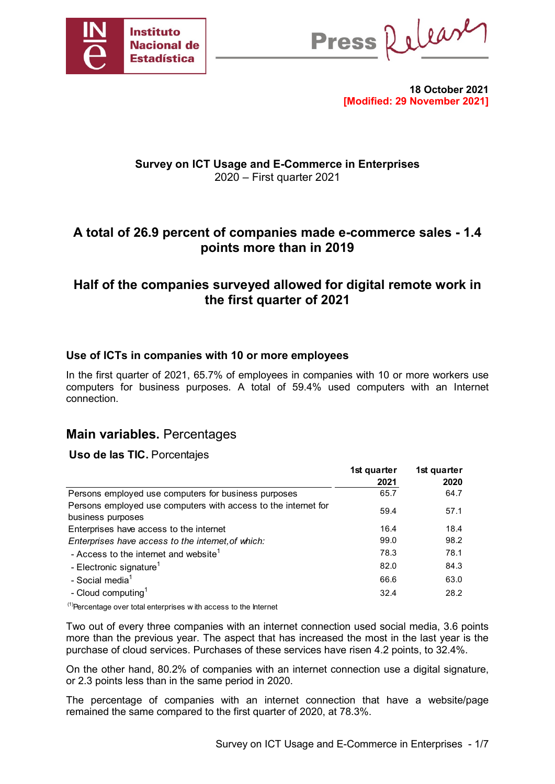

Press Release

**18 October 2021 [Modified: 29 November 2021]**

# **Survey on ICT Usage and E-Commerce in Enterprises** 2020 – First quarter 2021

# **A total of 26.9 percent of companies made e-commerce sales - 1.4 points more than in 2019**

# **Half of the companies surveyed allowed for digital remote work in the first quarter of 2021**

# **Use of ICTs in companies with 10 or more employees**

In the first quarter of 2021, 65.7% of employees in companies with 10 or more workers use computers for business purposes. A total of 59.4% used computers with an Internet connection.

# **Main variables.** Percentages

### **Uso de las TIC.** Porcentajes

|                                                                                     | 1st quarter<br>2021 | 1st quarter<br>2020 |
|-------------------------------------------------------------------------------------|---------------------|---------------------|
| Persons employed use computers for business purposes                                | 65.7                | 64.7                |
| Persons employed use computers with access to the internet for<br>business purposes | 59.4                | 57.1                |
| Enterprises have access to the internet                                             | 16.4                | 18.4                |
| Enterprises have access to the internet, of which:                                  | 99.0                | 98.2                |
| - Access to the internet and website <sup>1</sup>                                   | 78.3                | 78.1                |
| - Electronic signature <sup>1</sup>                                                 | 82.0                | 84.3                |
| - Social media <sup>1</sup>                                                         | 66.6                | 63.0                |
| - Cloud computing <sup>1</sup>                                                      | 32.4                | 28.2                |

 $<sup>(1)</sup>$ Percentage over total enterprises w ith access to the Internet</sup>

Two out of every three companies with an internet connection used social media, 3.6 points more than the previous year. The aspect that has increased the most in the last year is the purchase of cloud services. Purchases of these services have risen 4.2 points, to 32.4%.

On the other hand, 80.2% of companies with an internet connection use a digital signature, or 2.3 points less than in the same period in 2020.

The percentage of companies with an internet connection that have a website/page remained the same compared to the first quarter of 2020, at 78.3%.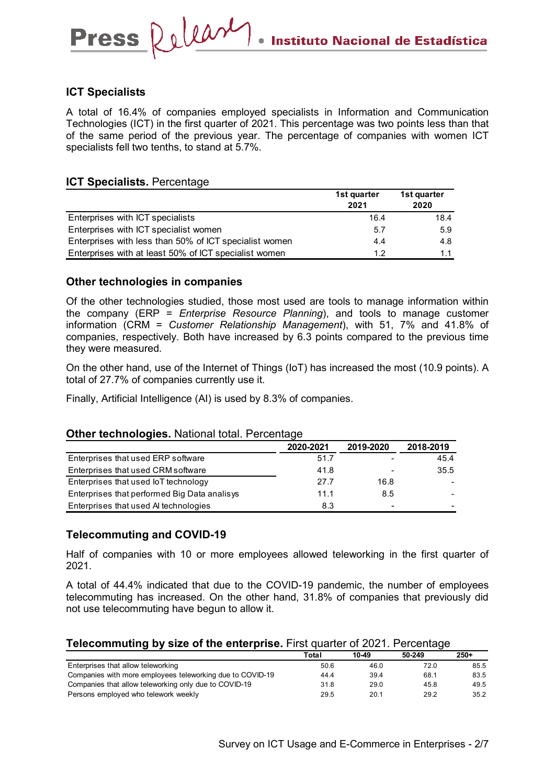### **ICT Specialists**

A total of 16.4% of companies employed specialists in Information and Communication Technologies (ICT) in the first quarter of 2021. This percentage was two points less than that of the same period of the previous year. The percentage of companies with women ICT specialists fell two tenths, to stand at 5.7%.

### **ICT Specialists. Percentage**

Press Releary

|                                                        | 1st quarter<br>2021 | 1st quarter<br>2020 |
|--------------------------------------------------------|---------------------|---------------------|
| Enterprises with ICT specialists                       | 16.4                | 18.4                |
| Enterprises with ICT specialist women                  | 5.7                 | 5.9                 |
| Enterprises with less than 50% of ICT specialist women | 4.4                 | 4.8                 |
| Enterprises with at least 50% of ICT specialist women  | 12                  | 11                  |

## **Other technologies in companies**

Of the other technologies studied, those most used are tools to manage information within the company (ERP = *Enterprise Resource Planning*), and tools to manage customer information (CRM = *Customer Relationship Management*), with 51, 7% and 41.8% of companies, respectively. Both have increased by 6.3 points compared to the previous time they were measured.

On the other hand, use of the Internet of Things (IoT) has increased the most (10.9 points). A total of 27.7% of companies currently use it.

Finally, Artificial Intelligence (AI) is used by 8.3% of companies.

#### **Other technologies.** National total. Percentage

|                                              | 2020-2021 | 2019-2020                | 2018-2019 |
|----------------------------------------------|-----------|--------------------------|-----------|
| Enterprises that used ERP software           | 51.7      | $\overline{\phantom{a}}$ | 45.4      |
| Enterprises that used CRM software           | 41.8      | $\overline{\phantom{a}}$ | 35.5      |
| Enterprises that used IoT technology         | 27.7      | 16.8                     |           |
| Enterprises that performed Big Data analisys | 11.1      | 8.5                      |           |
| Enterprises that used AI technologies        | 8.3       | -                        |           |

### **Telecommuting and COVID-19**

Half of companies with 10 or more employees allowed teleworking in the first quarter of 2021.

A total of 44.4% indicated that due to the COVID-19 pandemic, the number of employees telecommuting has increased. On the other hand, 31.8% of companies that previously did not use telecommuting have begun to allow it.

#### **Telecommuting by size of the enterprise.** First quarter of 2021. Percentage

|                                                           | Total | 10-49 | 50-249 | $250+$ |
|-----------------------------------------------------------|-------|-------|--------|--------|
| Enterprises that allow teleworking                        | 50.6  | 46.0  | 72.0   | 85.5   |
| Companies with more employees teleworking due to COVID-19 | 44.4  | 39.4  | 68.1   | 83.5   |
| Companies that allow teleworking only due to COVID-19     | 31.8  | 29.0  | 45.8   | 49.5   |
| Persons employed who telework weekly                      | 29.5  | 20.1  | 29.2   | 35.2   |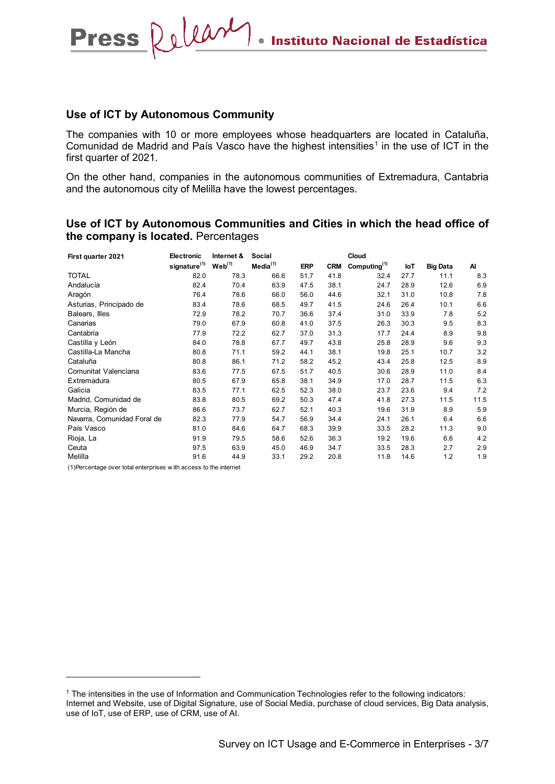#### **Use of ICT by Autonomous Community**

Press Releary

The companies with 10 or more employees whose headquarters are located in Cataluña, Comunidad de Madrid and País Vasco have the highest intensities<sup>[1](#page-2-0)</sup> in the use of ICT in the first quarter of 2021.

On the other hand, companies in the autonomous communities of Extremadura, Cantabria and the autonomous city of Melilla have the lowest percentages.

**Use of ICT by Autonomous Communities and Cities in which the head office of the company is located.** Percentages

| First quarter 2021          | <b>Electronic</b>        | Internet &         | Social               | Cloud      |            |                          |      |                 |      |
|-----------------------------|--------------------------|--------------------|----------------------|------------|------------|--------------------------|------|-----------------|------|
|                             | signature <sup>(1)</sup> | Web <sup>(1)</sup> | Media <sup>(1)</sup> | <b>ERP</b> | <b>CRM</b> | Computing <sup>(1)</sup> | loT  | <b>Big Data</b> | Al   |
| TOTAL                       | 82.0                     | 78.3               | 66.6                 | 51.7       | 41.8       | 32.4                     | 27.7 | 11.1            | 8.3  |
| Andalucía                   | 82.4                     | 70.4               | 63.9                 | 47.5       | 38.1       | 24.7                     | 28.9 | 12.6            | 6.9  |
| Aragón                      | 76.4                     | 78.6               | 66.0                 | 56.0       | 44.6       | 32.1                     | 31.0 | 10.8            | 7.8  |
| Asturias, Principado de     | 83.4                     | 78.6               | 68.5                 | 49.7       | 41.5       | 24.6                     | 26.4 | 10.1            | 6.6  |
| Balears, Illes              | 72.9                     | 78.2               | 70.7                 | 36.6       | 37.4       | 31.0                     | 33.9 | 7.8             | 5.2  |
| Canarias                    | 79.0                     | 67.9               | 60.8                 | 41.0       | 37.5       | 26.3                     | 30.3 | 9.5             | 8.3  |
| Cantabria                   | 77.9                     | 72.2               | 62.7                 | 37.0       | 31.3       | 17.7                     | 24.4 | 8.9             | 9.8  |
| Castilla y León             | 84.0                     | 78.8               | 67.7                 | 49.7       | 43.8       | 25.8                     | 28.9 | 9.6             | 9.3  |
| Castilla-La Mancha          | 80.8                     | 71.1               | 59.2                 | 44.1       | 38.1       | 19.8                     | 25.1 | 10.7            | 3.2  |
| Cataluña                    | 80.8                     | 86.1               | 71.2                 | 58.2       | 45.2       | 43.4                     | 25.8 | 12.5            | 8.9  |
| Comunitat Valenciana        | 83.6                     | 77.5               | 67.5                 | 51.7       | 40.5       | 30.6                     | 28.9 | 11.0            | 8.4  |
| Extremadura                 | 80.5                     | 67.9               | 65.8                 | 38.1       | 34.9       | 17.0                     | 28.7 | 11.5            | 6.3  |
| Galicia                     | 83.5                     | 77.1               | 62.5                 | 52.3       | 38.0       | 23.7                     | 23.6 | 9.4             | 7.2  |
| Madrid, Comunidad de        | 83.8                     | 80.5               | 69.2                 | 50.3       | 47.4       | 41.8                     | 27.3 | 11.5            | 11.5 |
| Murcia, Región de           | 86.6                     | 73.7               | 62.7                 | 52.1       | 40.3       | 19.6                     | 31.9 | 8.9             | 5.9  |
| Navarra, Comunidad Foral de | 82.3                     | 77.9               | 54.7                 | 56.9       | 34.4       | 24.1                     | 26.1 | 6.4             | 6.6  |
| País Vasco                  | 81.0                     | 84.6               | 64.7                 | 68.3       | 39.9       | 33.5                     | 28.2 | 11.3            | 9.0  |
| Rioja, La                   | 91.9                     | 79.5               | 58.6                 | 52.6       | 36.3       | 19.2                     | 19.6 | 6.6             | 4.2  |
| Ceuta                       | 97.5                     | 63.9               | 45.0                 | 46.9       | 34.7       | 33.5                     | 28.3 | 2.7             | 2.9  |
| Melilla                     | 91.6                     | 44.9               | 33.1                 | 29.2       | 20.8       | 11.8                     | 14.6 | 1.2             | 1.9  |

(1)Percentage over total enterprises w ith access to the internet

-

<span id="page-2-0"></span><sup>1</sup> The intensities in the use of Information and Communication Technologies refer to the following indicators: Internet and Website, use of Digital Signature, use of Social Media, purchase of cloud services, Big Data analysis, use of IoT, use of ERP, use of CRM, use of AI.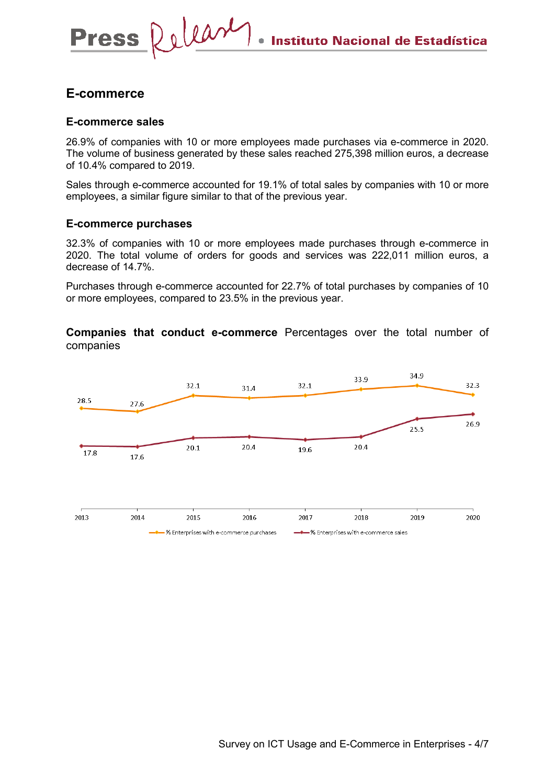# **E-commerce**

**Press** 

### **E-commerce sales**

Delear

26.9% of companies with 10 or more employees made purchases via e-commerce in 2020. The volume of business generated by these sales reached 275,398 million euros, a decrease of 10.4% compared to 2019.

Sales through e-commerce accounted for 19.1% of total sales by companies with 10 or more employees, a similar figure similar to that of the previous year.

#### **E-commerce purchases**

32.3% of companies with 10 or more employees made purchases through e-commerce in 2020. The total volume of orders for goods and services was 222,011 million euros, a decrease of 14.7%.

Purchases through e-commerce accounted for 22.7% of total purchases by companies of 10 or more employees, compared to 23.5% in the previous year.

**Companies that conduct e-commerce** Percentages over the total number of companies

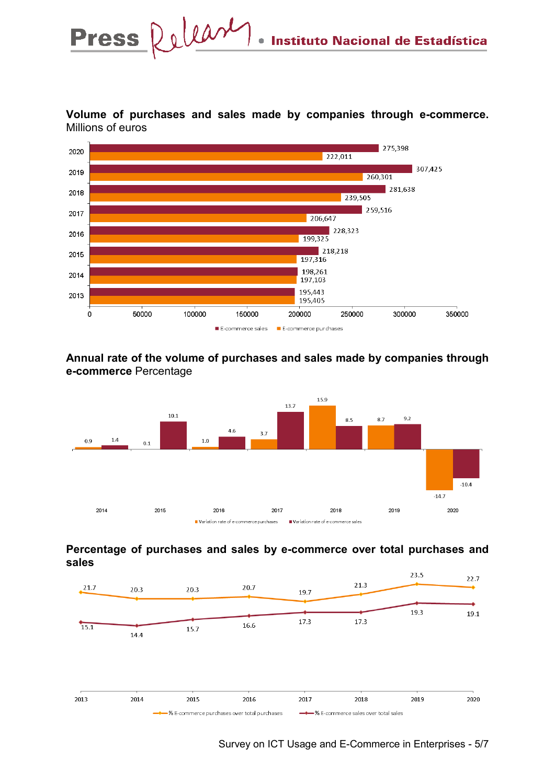

**Volume of purchases and sales made by companies through e-commerce.**  Millions of euros

# **Annual rate of the volume of purchases and sales made by companies through e-commerce** Percentage

E-commerce sales E-commerce purchases



# **Percentage of purchases and sales by e-commerce over total purchases and sales**



Survey on ICT Usage and E-Commerce in Enterprises - 5/7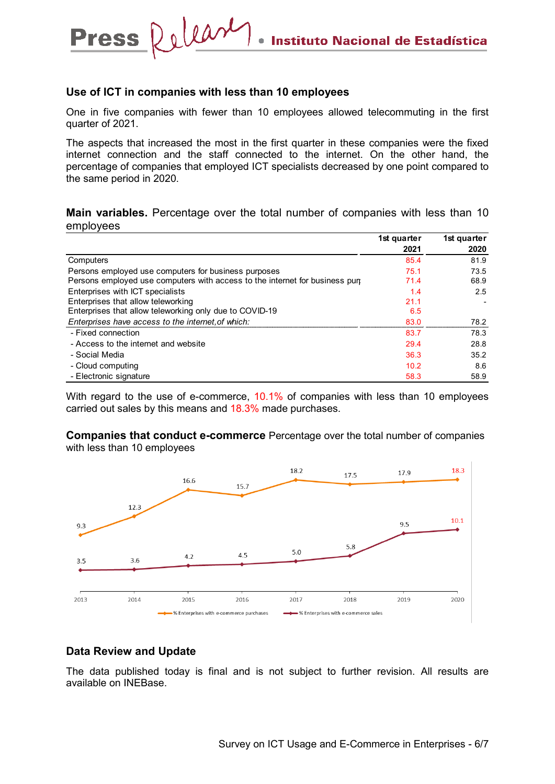#### **Use of ICT in companies with less than 10 employees**

Release

**Press** 

One in five companies with fewer than 10 employees allowed telecommuting in the first quarter of 2021.

The aspects that increased the most in the first quarter in these companies were the fixed internet connection and the staff connected to the internet. On the other hand, the percentage of companies that employed ICT specialists decreased by one point compared to the same period in 2020.

**Main variables.** Percentage over the total number of companies with less than 10 employees

|                                                                                    | 1st quarter<br>2021 | 1st quarter<br>2020 |
|------------------------------------------------------------------------------------|---------------------|---------------------|
| Computers                                                                          | 85.4                | 81.9                |
| Persons employed use computers for business purposes                               | 75.1                | 73.5                |
| Persons employed use computers with access to the internet for business purplement | 71.4                | 68.9                |
| Enterprises with ICT specialists                                                   | 1.4                 | 2.5                 |
| Enterprises that allow teleworking                                                 | 21.1                |                     |
| Enterprises that allow teleworking only due to COVID-19                            | 6.5                 |                     |
| Enterprises have access to the internet of which:                                  | 83.0                | 78.2                |
| - Fixed connection                                                                 | 83.7                | 78.3                |
| - Access to the internet and website                                               | 29.4                | 28.8                |
| - Social Media                                                                     | 36.3                | 35.2                |
| - Cloud computing                                                                  | 10.2                | 8.6                 |
| - Electronic signature                                                             | 58.3                | 58.9                |

With regard to the use of e-commerce, 10.1% of companies with less than 10 employees carried out sales by this means and 18.3% made purchases.

**Companies that conduct e-commerce** Percentage over the total number of companies with less than 10 employees



#### **Data Review and Update**

The data published today is final and is not subject to further revision. All results are available on INEBase.